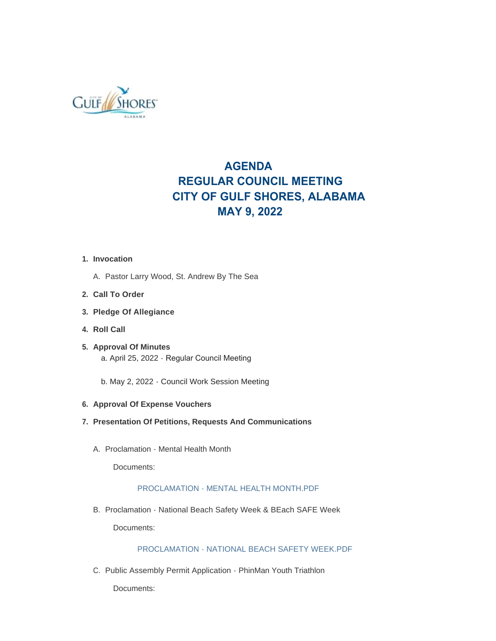

# **AGENDA REGULAR COUNCIL MEETING CITY OF GULF SHORES, ALABAMA MAY 9, 2022**

## **Invocation 1.**

- A. Pastor Larry Wood, St. Andrew By The Sea
- **Call To Order 2.**
- **Pledge Of Allegiance 3.**
- **Roll Call 4.**
- **Approval Of Minutes 5.** a. April 25, 2022 - Regular Council Meeting
	- b. May 2, 2022 Council Work Session Meeting

## **Approval Of Expense Vouchers 6.**

- **Presentation Of Petitions, Requests And Communications 7.**
	- A. Proclamation Mental Health Month

Documents:

# [PROCLAMATION - MENTAL HEALTH MONTH.PDF](https://www.gulfshoresal.gov/AgendaCenter/ViewFile/Item/10190?fileID=22034)

B. Proclamation - National Beach Safety Week & BEach SAFE Week

Documents:

# [PROCLAMATION - NATIONAL BEACH SAFETY WEEK.PDF](https://www.gulfshoresal.gov/AgendaCenter/ViewFile/Item/10189?fileID=22033)

C. Public Assembly Permit Application - PhinMan Youth Triathlon

Documents: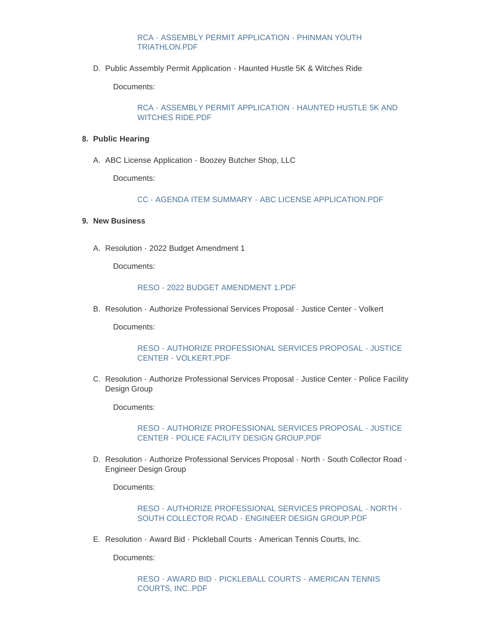## [RCA - ASSEMBLY PERMIT APPLICATION - PHINMAN YOUTH](https://www.gulfshoresal.gov/AgendaCenter/ViewFile/Item/10177?fileID=22021)  TRIATHLON.PDF

D. Public Assembly Permit Application - Haunted Hustle 5K & Witches Ride

Documents:

[RCA - ASSEMBLY PERMIT APPLICATION - HAUNTED HUSTLE 5K AND](https://www.gulfshoresal.gov/AgendaCenter/ViewFile/Item/10176?fileID=22020)  WITCHES RIDE.PDF

#### **Public Hearing 8.**

A. ABC License Application - Boozey Butcher Shop, LLC

Documents:

[CC - AGENDA ITEM SUMMARY - ABC LICENSE APPLICATION.PDF](https://www.gulfshoresal.gov/AgendaCenter/ViewFile/Item/10178?fileID=22035)

### **New Business 9.**

A. Resolution - 2022 Budget Amendment 1

Documents:

#### [RESO - 2022 BUDGET AMENDMENT 1.PDF](https://www.gulfshoresal.gov/AgendaCenter/ViewFile/Item/10179?fileID=22023)

B. Resolution - Authorize Professional Services Proposal - Justice Center - Volkert

Documents:

[RESO - AUTHORIZE PROFESSIONAL SERVICES PROPOSAL - JUSTICE](https://www.gulfshoresal.gov/AgendaCenter/ViewFile/Item/10180?fileID=22024)  CENTER - VOLKERT.PDF

C. Resolution - Authorize Professional Services Proposal - Justice Center - Police Facility Design Group

Documents:

[RESO - AUTHORIZE PROFESSIONAL SERVICES PROPOSAL - JUSTICE](https://www.gulfshoresal.gov/AgendaCenter/ViewFile/Item/10181?fileID=22025)  CENTER - POLICE FACILITY DESIGN GROUP.PDF

D. Resolution - Authorize Professional Services Proposal - North - South Collector Road -Engineer Design Group

Documents:

[RESO - AUTHORIZE PROFESSIONAL SERVICES PROPOSAL - NORTH -](https://www.gulfshoresal.gov/AgendaCenter/ViewFile/Item/10182?fileID=22026) SOUTH COLLECTOR ROAD - ENGINEER DESIGN GROUP.PDF

E. Resolution - Award Bid - Pickleball Courts - American Tennis Courts, Inc.

Documents:

[RESO - AWARD BID - PICKLEBALL COURTS - AMERICAN TENNIS](https://www.gulfshoresal.gov/AgendaCenter/ViewFile/Item/10183?fileID=22027)  COURTS, INC..PDF